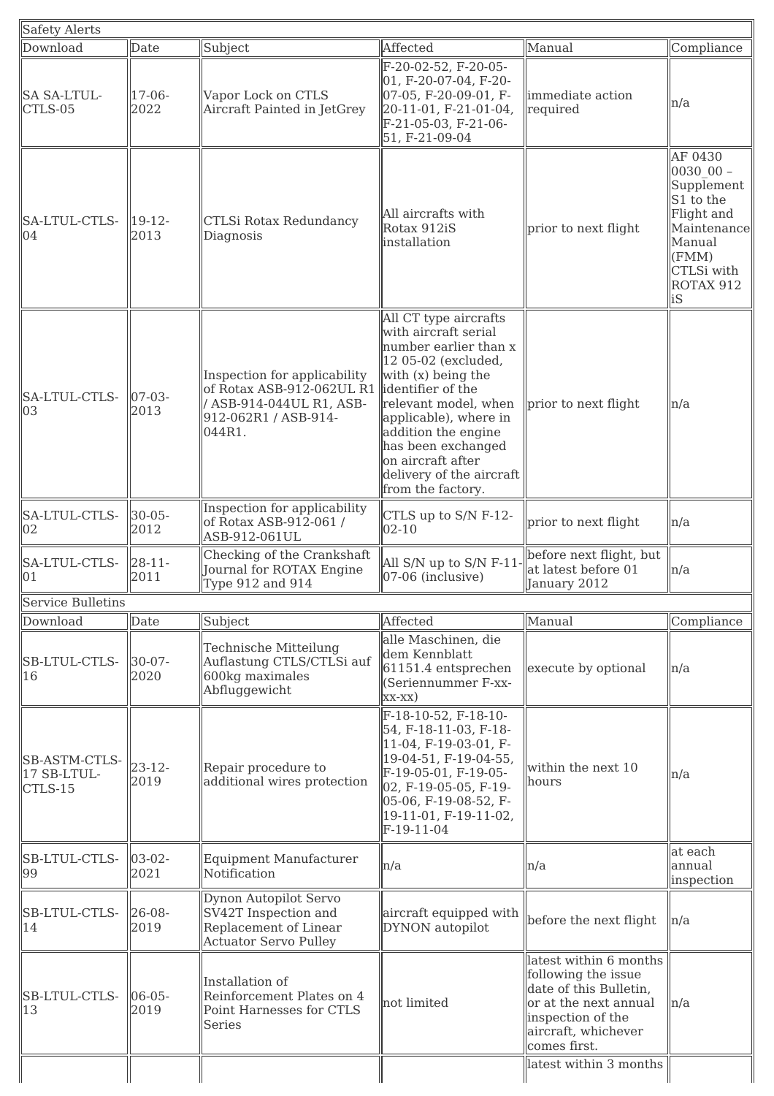|                     |                                                                                                                         |                                                                                                                                                                                                                                                                                          |                                                                                                                                                              | Compliance                                                                                                                        |
|---------------------|-------------------------------------------------------------------------------------------------------------------------|------------------------------------------------------------------------------------------------------------------------------------------------------------------------------------------------------------------------------------------------------------------------------------------|--------------------------------------------------------------------------------------------------------------------------------------------------------------|-----------------------------------------------------------------------------------------------------------------------------------|
| 17-06-<br>2022      | Vapor Lock on CTLS<br>Aircraft Painted in JetGrey                                                                       | 01, F-20-07-04, F-20-<br>07-05, F-20-09-01, F-<br>20-11-01, F-21-01-04,<br>F-21-05-03, F-21-06-<br>51, F-21-09-04                                                                                                                                                                        | immediate action<br>required                                                                                                                                 | n/a                                                                                                                               |
| $19-12-$<br>2013    | CTLSi Rotax Redundancy<br>Diagnosis                                                                                     | All aircrafts with<br>Rotax 912iS<br>installation                                                                                                                                                                                                                                        | prior to next flight                                                                                                                                         | AF 0430<br>$003000 -$<br>Supplement<br>S1 to the<br>Flight and<br>Maintenance<br>Manual<br>(FMM)<br>CTLSi with<br>ROTAX 912<br>iS |
| $07 - 03 -$<br>2013 | Inspection for applicability<br>of Rotax ASB-912-062UL R1<br>/ ASB-914-044UL R1, ASB-<br>912-062R1 / ASB-914-<br>044R1. | All CT type aircrafts<br>with aircraft serial<br>number earlier than x<br>12 05-02 (excluded,<br>with (x) being the<br>lidentifier of the<br>relevant model, when<br>applicable), where in<br>addition the engine<br>has been exchanged<br>on aircraft after<br>delivery of the aircraft | prior to next flight                                                                                                                                         | n/a                                                                                                                               |
| $30 - 05 -$<br>2012 | Inspection for applicability<br>of Rotax ASB-912-061 /<br>ASB-912-061UL                                                 | CTLS up to S/N F-12-<br>$02 - 10$                                                                                                                                                                                                                                                        | prior to next flight                                                                                                                                         | n/a                                                                                                                               |
| $28 - 11 -$<br>2011 | Checking of the Crankshaft<br>Journal for ROTAX Engine<br>Type 912 and 914                                              | All S/N up to S/N F-11<br>07-06 (inclusive)                                                                                                                                                                                                                                              | before next flight, but<br>at latest before 01<br>January 2012                                                                                               | n/a                                                                                                                               |
|                     |                                                                                                                         |                                                                                                                                                                                                                                                                                          |                                                                                                                                                              |                                                                                                                                   |
| Date                | Subject                                                                                                                 |                                                                                                                                                                                                                                                                                          |                                                                                                                                                              | Compliance                                                                                                                        |
| $30 - 07 -$<br>2020 | Technische Mitteilung<br>Auflastung CTLS/CTLSi auf<br>600kg maximales<br>Abfluggewicht                                  | dem Kennblatt<br>61151.4 entsprechen<br>(Seriennummer F-xx-<br>$XX-XX)$                                                                                                                                                                                                                  | execute by optional                                                                                                                                          | n/a                                                                                                                               |
| $23 - 12 -$<br>2019 | Repair procedure to<br>additional wires protection                                                                      | F-18-10-52, F-18-10-<br>54, F-18-11-03, F-18-<br>11-04, F-19-03-01, F-<br>19-04-51, F-19-04-55,<br>F-19-05-01, F-19-05-<br>02, F-19-05-05, F-19-<br>05-06, F-19-08-52, F-<br>19-11-01, F-19-11-02,<br>F-19-11-04                                                                         | within the next 10<br>hours                                                                                                                                  | n/a                                                                                                                               |
| $03-02-$<br>2021    | <b>Equipment Manufacturer</b><br>Notification                                                                           | n/a                                                                                                                                                                                                                                                                                      | n/a                                                                                                                                                          | at each<br>annual<br>inspection                                                                                                   |
| $26 - 08 -$<br>2019 | Dynon Autopilot Servo<br>SV42T Inspection and<br>Replacement of Linear<br><b>Actuator Servo Pulley</b>                  | aircraft equipped with<br>DYNON autopilot                                                                                                                                                                                                                                                | before the next flight                                                                                                                                       | n/a                                                                                                                               |
| $06 - 05 -$<br>2019 | Installation of<br>Reinforcement Plates on 4<br>Point Harnesses for CTLS<br>Series                                      | not limited                                                                                                                                                                                                                                                                              | latest within 6 months<br>following the issue<br>date of this Bulletin,<br>or at the next annual<br>inspection of the<br>aircraft, whichever<br>comes first. | n/a                                                                                                                               |
|                     | Date<br>Service Bulletins                                                                                               | Subject                                                                                                                                                                                                                                                                                  | Affected<br>F-20-02-52, F-20-05-<br>from the factory.<br>Affected<br>alle Maschinen, die                                                                     | Manual<br>Manual                                                                                                                  |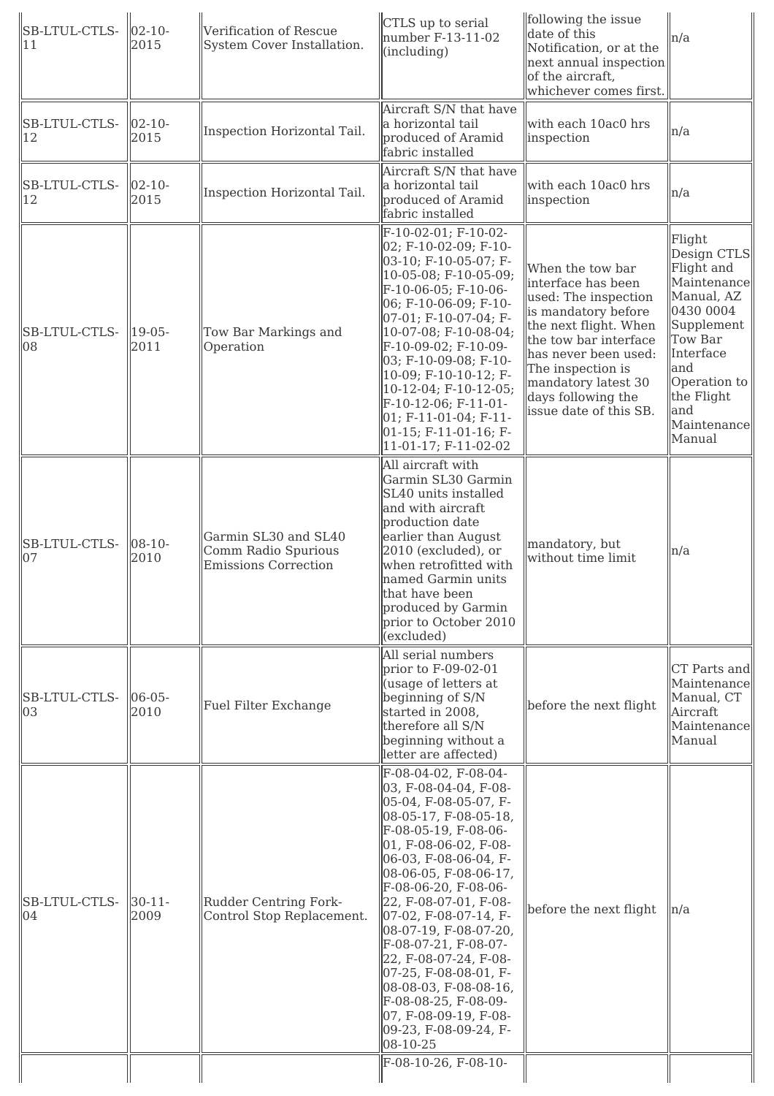| $02 - 10 -$<br>2015 | Verification of Rescue<br>System Cover Installation.                       | CTLS up to serial<br>number F-13-11-02<br>(including)                                                                                                                                                                                                                                                                                                                                                                                                                                                                        | following the issue<br>date of this<br>Notification, or at the<br>of the aircraft,<br>whichever comes first.                                                                                                                                                | n/a                                                                                                                                                                                      |
|---------------------|----------------------------------------------------------------------------|------------------------------------------------------------------------------------------------------------------------------------------------------------------------------------------------------------------------------------------------------------------------------------------------------------------------------------------------------------------------------------------------------------------------------------------------------------------------------------------------------------------------------|-------------------------------------------------------------------------------------------------------------------------------------------------------------------------------------------------------------------------------------------------------------|------------------------------------------------------------------------------------------------------------------------------------------------------------------------------------------|
| $02 - 10 -$<br>2015 | Inspection Horizontal Tail.                                                | Aircraft S/N that have<br>a horizontal tail<br>produced of Aramid<br>fabric installed                                                                                                                                                                                                                                                                                                                                                                                                                                        | with each 10ac0 hrs<br>inspection                                                                                                                                                                                                                           | n/a                                                                                                                                                                                      |
| $02 - 10 -$<br>2015 | Inspection Horizontal Tail.                                                | Aircraft S/N that have<br>a horizontal tail<br>produced of Aramid<br>fabric installed                                                                                                                                                                                                                                                                                                                                                                                                                                        | with each 10ac0 hrs<br>inspection                                                                                                                                                                                                                           | n/a                                                                                                                                                                                      |
| $19-05-$<br>2011    | Tow Bar Markings and<br>Operation                                          | F-10-02-01; F-10-02-<br>02; F-10-02-09; F-10-<br>03-10; F-10-05-07; F-<br>10-05-08; F-10-05-09;<br>F-10-06-05; F-10-06-<br>06; F-10-06-09; F-10-<br>07-01; F-10-07-04; F-<br>10-07-08; F-10-08-04;<br>F-10-09-02; F-10-09-<br>03; F-10-09-08; F-10-<br>10-09; F-10-10-12; F-<br>10-12-04; F-10-12-05;<br>F-10-12-06; F-11-01-<br>$01; F-11-01-04; F-11-$<br>$[01-15; F-11-01-16; F-$<br>11-01-17; F-11-02-02                                                                                                                 | When the tow bar<br>interface has been<br>used: The inspection<br>is mandatory before<br>the next flight. When<br>the tow bar interface<br>has never been used:<br>The inspection is<br>mandatory latest 30<br>days following the<br>issue date of this SB. | Flight<br>Design CTLS<br>Flight and<br>Maintenance<br>Manual, AZ<br>0430 0004<br>Supplement<br>Tow Bar<br>Interface<br>and<br>Operation to<br>the Flight<br>and<br>Maintenance<br>Manual |
| $08-10-$<br>2010    | Garmin SL30 and SL40<br>Comm Radio Spurious<br><b>Emissions Correction</b> | All aircraft with<br>Garmin SL30 Garmin<br>SL40 units installed<br>and with aircraft<br>production date<br>earlier than August<br>2010 (excluded), or<br>when retrofitted with<br>named Garmin units<br>that have been<br>produced by Garmin<br>prior to October 2010<br>(excluded)                                                                                                                                                                                                                                          | mandatory, but<br>without time limit                                                                                                                                                                                                                        | n/a                                                                                                                                                                                      |
| $06 - 05 -$<br>2010 | Fuel Filter Exchange                                                       | All serial numbers<br>prior to $F-09-02-01$<br>(usage of letters at<br>beginning of S/N<br>started in 2008,<br>therefore all S/N<br>beginning without a<br>letter are affected)                                                                                                                                                                                                                                                                                                                                              | before the next flight                                                                                                                                                                                                                                      | CT Parts and<br>Maintenance<br>Manual, CT<br>Aircraft<br>Maintenance<br>Manual                                                                                                           |
| $30 - 11 -$<br>2009 | Rudder Centring Fork-<br>Control Stop Replacement.                         | F-08-04-02, F-08-04-<br>03, F-08-04-04, F-08-<br>05-04, F-08-05-07, F-<br>08-05-17, F-08-05-18,<br>F-08-05-19, F-08-06-<br>$ 01, F-08-06-02, F-08-$<br>06-03, F-08-06-04, F-<br>08-06-05, F-08-06-17,<br>F-08-06-20, F-08-06-<br>22, F-08-07-01, F-08-<br>07-02, F-08-07-14, F-<br>08-07-19, F-08-07-20,<br>F-08-07-21, F-08-07-<br>22, F-08-07-24, F-08-<br>07-25, F-08-08-01, F-<br>08-08-03, F-08-08-16,<br>F-08-08-25, F-08-09-<br>$ 07, F-08-09-19, F-08-$<br>09-23, F-08-09-24, F-<br>08-10-25<br>F-08-10-26, F-08-10- | before the next flight                                                                                                                                                                                                                                      | ln/a                                                                                                                                                                                     |
|                     |                                                                            |                                                                                                                                                                                                                                                                                                                                                                                                                                                                                                                              |                                                                                                                                                                                                                                                             | next annual inspection                                                                                                                                                                   |